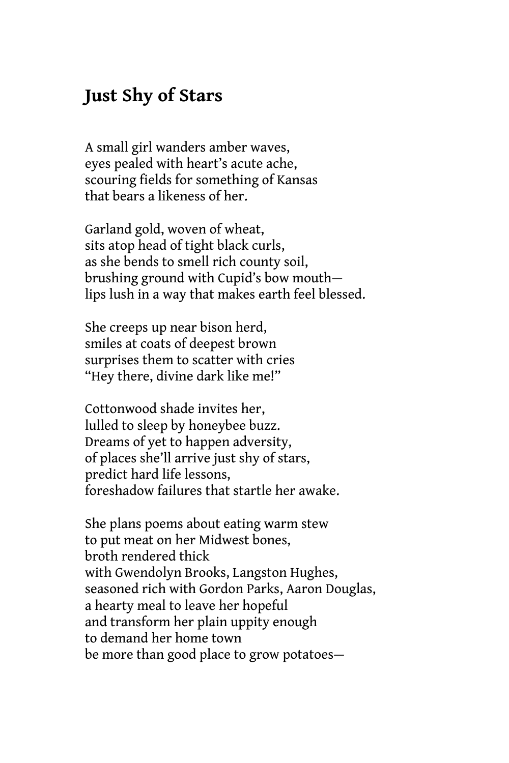## **Just Shy of Stars**

A small girl wanders amber waves, eyes pealed with heart's acute ache, scouring fields for something of Kansas that bears a likeness of her.

Garland gold, woven of wheat, sits atop head of tight black curls, as she bends to smell rich county soil, brushing ground with Cupid's bow mouth lips lush in a way that makes earth feel blessed.

She creeps up near bison herd, smiles at coats of deepest brown surprises them to scatter with cries "Hey there, divine dark like me!"

Cottonwood shade invites her, lulled to sleep by honeybee buzz. Dreams of yet to happen adversity, of places she'll arrive just shy of stars, predict hard life lessons, foreshadow failures that startle her awake.

She plans poems about eating warm stew to put meat on her Midwest bones, broth rendered thick with Gwendolyn Brooks, Langston Hughes, seasoned rich with Gordon Parks, Aaron Douglas, a hearty meal to leave her hopeful and transform her plain uppity enough to demand her home town be more than good place to grow potatoes